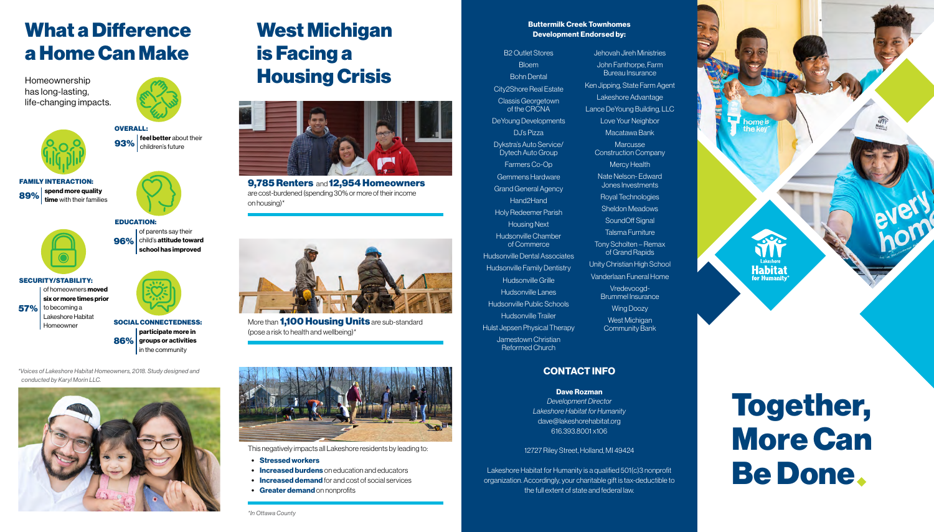## West Michigan is Facing a Housing Crisis



9,785 Renters and 12,954 Homeowners are cost-burdened (spending 30% or more of their income on housing)\*



More than **1.100 Housing Units** are sub-standard (pose a risk to health and wellbeing)\*



- Stressed workers
- **Increased burdens** on education and educators
- Increased demand for and cost of social services
- Greater demand on nonprofits

This negatively impacts all Lakeshore residents by leading to:

of homeowners **moved** six or more times prior to becoming a Lakeshore Habitat 57%



of parents say their  $96\%$  child's attitude toward school has improved

FAMILY INTERACTION:





## What a Difference a Home Can Make

SOCIAL CONNECTEDNESS: participate more in  $\bf86\%$  groups or activities in the community



SECURITY/STABILITY:

Homeowner

#### EDUCATION:

Homeownership has long-lasting, life-changing impacts.



93% children's future

# Together, More Can Be Done

#### Buttermilk Creek Townhomes Development Endorsed by:

B2 Outlet Stores **Bloem** Bohn Dental City2Shore Real Estate Classis Georgetown of the CRCNA

DeYoung Developments DJ's Pizza Dykstra's Auto Service/ Dytech Auto Group

Farmers Co-Op Gemmens Hardware

Grand General Agency

Hand2Hand

Holy Redeemer Parish Housing Next

Hudsonville Chamber of Commerce

Hudsonville Dental Associates Hudsonville Family Dentistry Hudsonville Grille

Hudsonville Lanes

Hudsonville Public Schools Hudsonville Trailer

Hulst Jepsen Physical Therapy

Jamestown Christian Reformed Church

Jehovah Jireh Ministries John Fanthorpe, Farm Bureau Insurance Ken Jipping, State Farm Agent Lakeshore Advantage Lance DeYoung Building, LLC Love Your Neighbor Macatawa Bank **Marcusse** Construction Company Mercy Health Nate Nelson- Edward Jones Investments Royal Technologies Sheldon Meadows SoundOff Signal Talsma Furniture Tony Scholten – Remax of Grand Rapids Unity Christian High School Vanderlaan Funeral Home Vredevoogd-Brummel Insurance Wing Doozy West Michigan

Community Bank

### CONTACT INFO

#### Dave Rozman

*Development Director Lakeshore Habitat for Humanity* dave@lakeshorehabitat.org 616.393.8001 x106

#### 12727 Riley Street, Holland, MI 49424

Lakeshore Habitat for Humanity is a qualified 501(c)3 nonprofit organization. Accordingly, your charitable gift is tax-deductible to the full extent of state and federal law.



*\*Voices of Lakeshore Habitat Homeowners, 2018. Study designed and conducted by Karyl Morin LLC.*



*\*In Ottawa County*